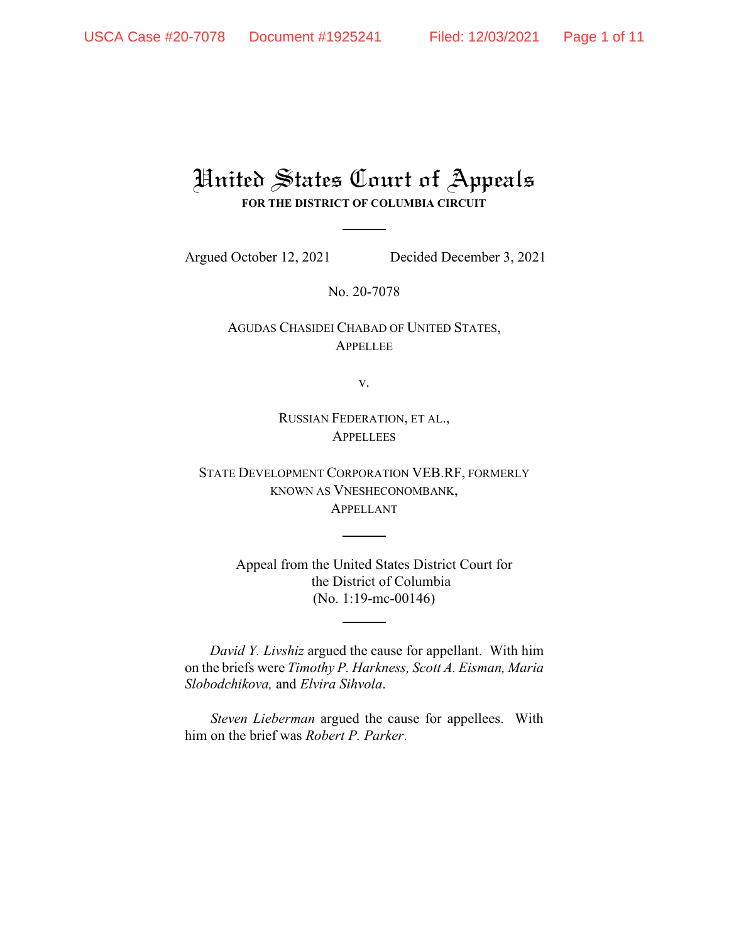# United States Court of Appeals **FOR THE DISTRICT OF COLUMBIA CIRCUIT**

Argued October 12, 2021 Decided December 3, 2021

No. 20-7078

AGUDAS CHASIDEI CHABAD OF UNITED STATES, **APPELLEE** 

v.

RUSSIAN FEDERATION, ET AL., **APPELLEES** 

STATE DEVELOPMENT CORPORATION VEB.RF, FORMERLY KNOWN AS VNESHECONOMBANK, APPELLANT

> Appeal from the United States District Court for the District of Columbia (No. 1:19-mc-00146)

*David Y. Livshiz* argued the cause for appellant. With him on the briefs were *Timothy P. Harkness, Scott A. Eisman, Maria Slobodchikova,* and *Elvira Sihvola*.

*Steven Lieberman* argued the cause for appellees. With him on the brief was *Robert P. Parker*.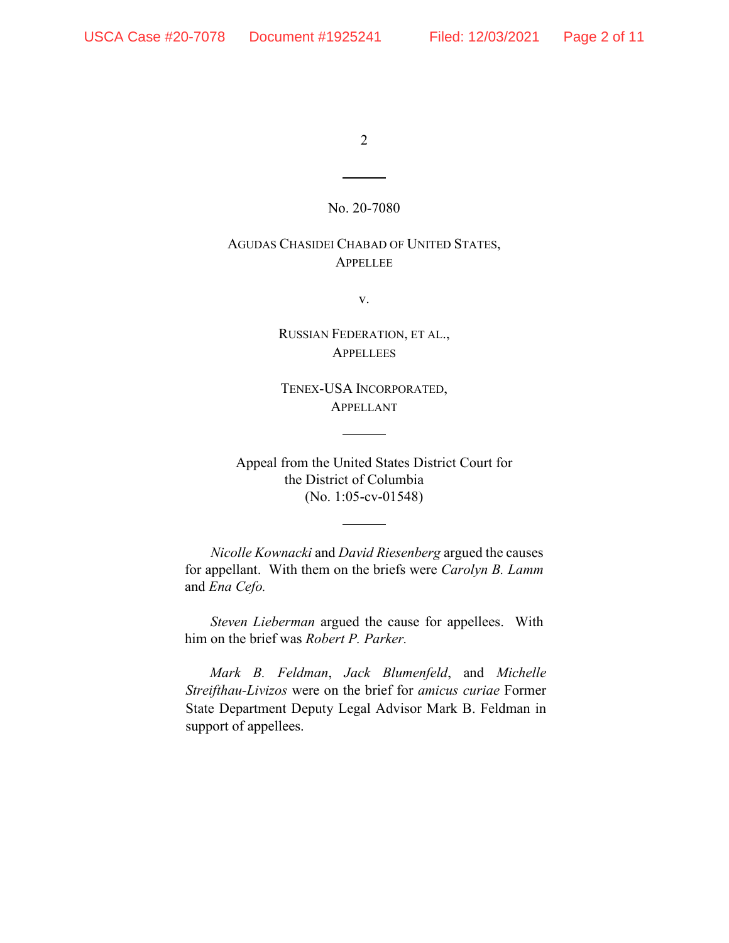#### No. 20-7080

# AGUDAS CHASIDEI CHABAD OF UNITED STATES, APPELLEE

v.

RUSSIAN FEDERATION, ET AL., **APPELLEES** 

TENEX-USA INCORPORATED, APPELLANT

Appeal from the United States District Court for the District of Columbia (No. 1:05-cv-01548)

*Nicolle Kownacki* and *David Riesenberg* argued the causes for appellant. With them on the briefs were *Carolyn B. Lamm*  and *Ena Cefo.* 

*Steven Lieberman* argued the cause for appellees. With him on the brief was *Robert P. Parker.* 

*Mark B. Feldman*, *Jack Blumenfeld*, and *Michelle Streifthau-Livizos* were on the brief for *amicus curiae* Former State Department Deputy Legal Advisor Mark B. Feldman in support of appellees.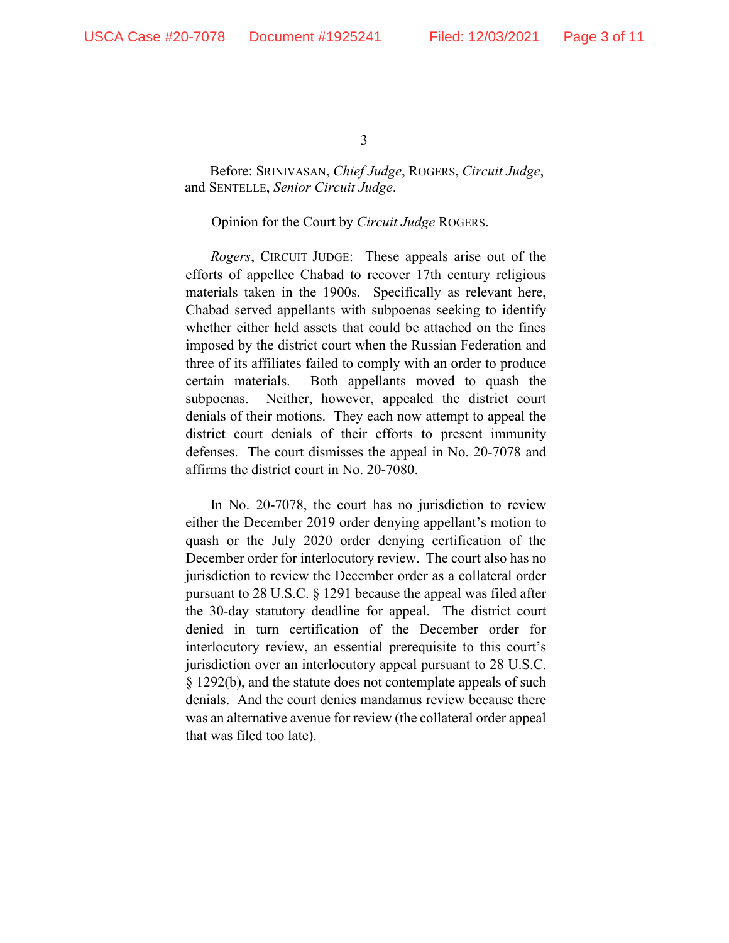Before: SRINIVASAN, *Chief Judge*, ROGERS, *Circuit Judge*, and SENTELLE, *Senior Circuit Judge*.

#### Opinion for the Court by *Circuit Judge* ROGERS.

*Rogers*, CIRCUIT JUDGE: These appeals arise out of the efforts of appellee Chabad to recover 17th century religious materials taken in the 1900s. Specifically as relevant here, Chabad served appellants with subpoenas seeking to identify whether either held assets that could be attached on the fines imposed by the district court when the Russian Federation and three of its affiliates failed to comply with an order to produce certain materials. Both appellants moved to quash the subpoenas. Neither, however, appealed the district court denials of their motions. They each now attempt to appeal the district court denials of their efforts to present immunity defenses. The court dismisses the appeal in No. 20-7078 and affirms the district court in No. 20-7080.

In No. 20-7078, the court has no jurisdiction to review either the December 2019 order denying appellant's motion to quash or the July 2020 order denying certification of the December order for interlocutory review. The court also has no jurisdiction to review the December order as a collateral order pursuant to 28 U.S.C. § 1291 because the appeal was filed after the 30-day statutory deadline for appeal. The district court denied in turn certification of the December order for interlocutory review, an essential prerequisite to this court's jurisdiction over an interlocutory appeal pursuant to 28 U.S.C. § 1292(b), and the statute does not contemplate appeals of such denials. And the court denies mandamus review because there was an alternative avenue for review (the collateral order appeal that was filed too late).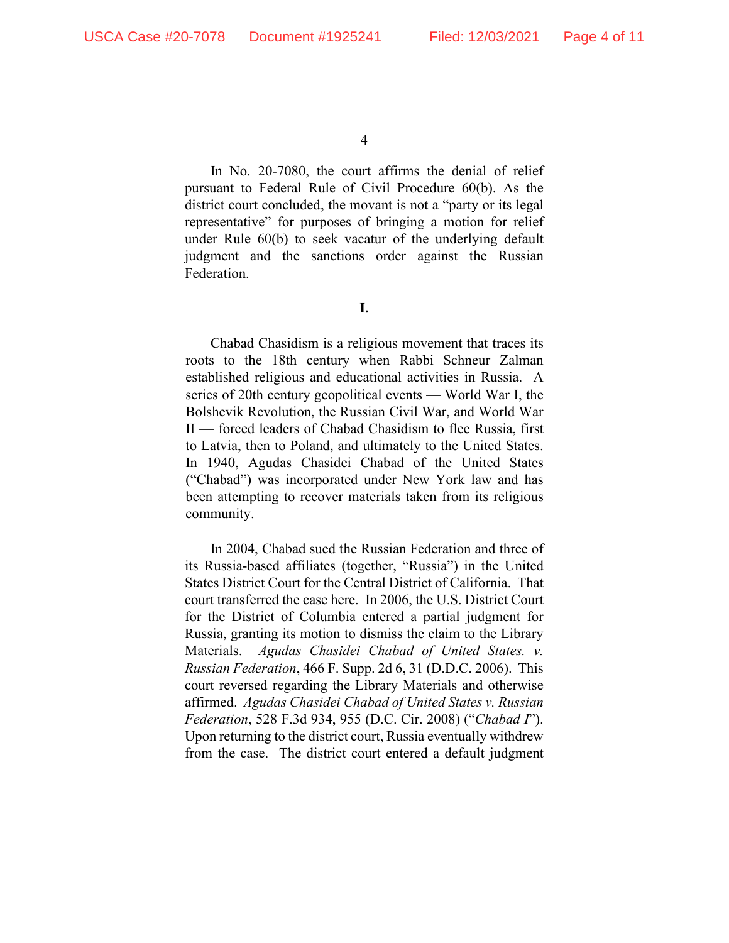In No. 20-7080, the court affirms the denial of relief pursuant to Federal Rule of Civil Procedure 60(b). As the district court concluded, the movant is not a "party or its legal representative" for purposes of bringing a motion for relief under Rule 60(b) to seek vacatur of the underlying default judgment and the sanctions order against the Russian Federation.

**I.** 

Chabad Chasidism is a religious movement that traces its roots to the 18th century when Rabbi Schneur Zalman established religious and educational activities in Russia. A series of 20th century geopolitical events — World War I, the Bolshevik Revolution, the Russian Civil War, and World War II — forced leaders of Chabad Chasidism to flee Russia, first to Latvia, then to Poland, and ultimately to the United States. In 1940, Agudas Chasidei Chabad of the United States ("Chabad") was incorporated under New York law and has been attempting to recover materials taken from its religious community.

In 2004, Chabad sued the Russian Federation and three of its Russia-based affiliates (together, "Russia") in the United States District Court for the Central District of California. That court transferred the case here. In 2006, the U.S. District Court for the District of Columbia entered a partial judgment for Russia, granting its motion to dismiss the claim to the Library Materials. *Agudas Chasidei Chabad of United States. v. Russian Federation*, 466 F. Supp. 2d 6, 31 (D.D.C. 2006). This court reversed regarding the Library Materials and otherwise affirmed. *Agudas Chasidei Chabad of United States v. Russian Federation*, 528 F.3d 934, 955 (D.C. Cir. 2008) ("*Chabad I*"). Upon returning to the district court, Russia eventually withdrew from the case. The district court entered a default judgment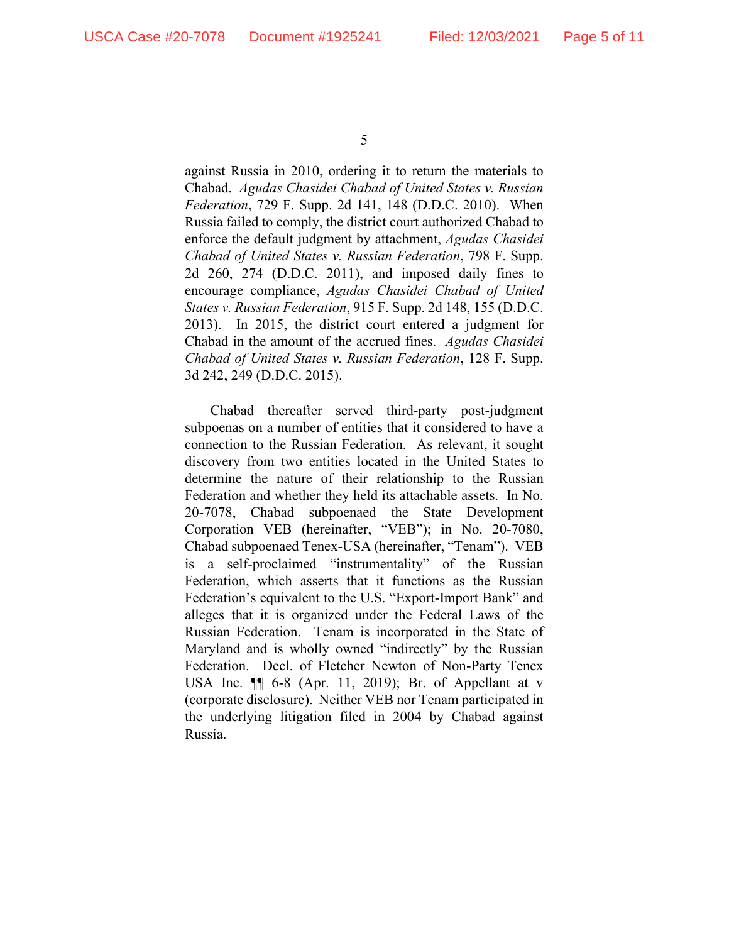against Russia in 2010, ordering it to return the materials to Chabad. *Agudas Chasidei Chabad of United States v. Russian Federation*, 729 F. Supp. 2d 141, 148 (D.D.C. 2010). When Russia failed to comply, the district court authorized Chabad to enforce the default judgment by attachment, *Agudas Chasidei Chabad of United States v. Russian Federation*, 798 F. Supp. 2d 260, 274 (D.D.C. 2011), and imposed daily fines to encourage compliance, *Agudas Chasidei Chabad of United States v. Russian Federation*, 915 F. Supp. 2d 148, 155 (D.D.C. 2013). In 2015, the district court entered a judgment for Chabad in the amount of the accrued fines. *Agudas Chasidei Chabad of United States v. Russian Federation*, 128 F. Supp. 3d 242, 249 (D.D.C. 2015).

Chabad thereafter served third-party post-judgment subpoenas on a number of entities that it considered to have a connection to the Russian Federation. As relevant, it sought discovery from two entities located in the United States to determine the nature of their relationship to the Russian Federation and whether they held its attachable assets. In No. 20-7078, Chabad subpoenaed the State Development Corporation VEB (hereinafter, "VEB"); in No. 20-7080, Chabad subpoenaed Tenex-USA (hereinafter, "Tenam"). VEB is a self-proclaimed "instrumentality" of the Russian Federation, which asserts that it functions as the Russian Federation's equivalent to the U.S. "Export-Import Bank" and alleges that it is organized under the Federal Laws of the Russian Federation. Tenam is incorporated in the State of Maryland and is wholly owned "indirectly" by the Russian Federation. Decl. of Fletcher Newton of Non-Party Tenex USA Inc. ¶¶ 6-8 (Apr. 11, 2019); Br. of Appellant at v (corporate disclosure). Neither VEB nor Tenam participated in the underlying litigation filed in 2004 by Chabad against Russia.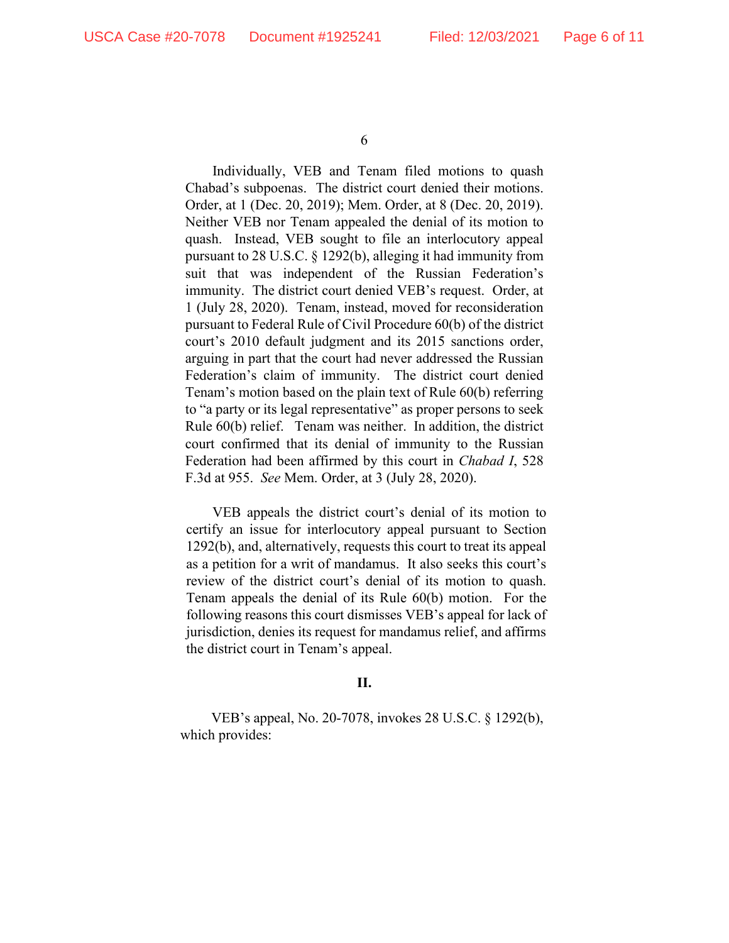Individually, VEB and Tenam filed motions to quash Chabad's subpoenas. The district court denied their motions. Order, at 1 (Dec. 20, 2019); Mem. Order, at 8 (Dec. 20, 2019). Neither VEB nor Tenam appealed the denial of its motion to quash. Instead, VEB sought to file an interlocutory appeal pursuant to 28 U.S.C. § 1292(b), alleging it had immunity from suit that was independent of the Russian Federation's immunity. The district court denied VEB's request. Order, at 1 (July 28, 2020). Tenam, instead, moved for reconsideration pursuant to Federal Rule of Civil Procedure 60(b) of the district court's 2010 default judgment and its 2015 sanctions order, arguing in part that the court had never addressed the Russian Federation's claim of immunity. The district court denied Tenam's motion based on the plain text of Rule 60(b) referring to "a party or its legal representative" as proper persons to seek Rule 60(b) relief. Tenam was neither. In addition, the district court confirmed that its denial of immunity to the Russian Federation had been affirmed by this court in *Chabad I*, 528 F.3d at 955. *See* Mem. Order, at 3 (July 28, 2020).

VEB appeals the district court's denial of its motion to certify an issue for interlocutory appeal pursuant to Section 1292(b), and, alternatively, requests this court to treat its appeal as a petition for a writ of mandamus. It also seeks this court's review of the district court's denial of its motion to quash. Tenam appeals the denial of its Rule 60(b) motion. For the following reasons this court dismisses VEB's appeal for lack of jurisdiction, denies its request for mandamus relief, and affirms the district court in Tenam's appeal.

### **II.**

VEB's appeal, No. 20-7078, invokes 28 U.S.C. § 1292(b), which provides: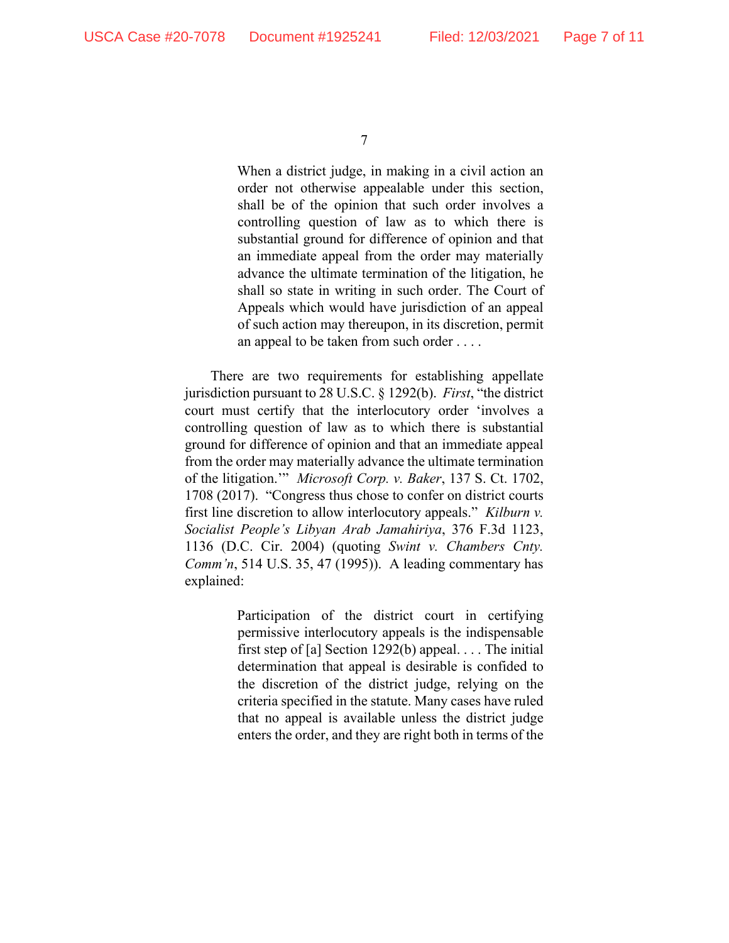When a district judge, in making in a civil action an order not otherwise appealable under this section, shall be of the opinion that such order involves a controlling question of law as to which there is substantial ground for difference of opinion and that an immediate appeal from the order may materially advance the ultimate termination of the litigation, he shall so state in writing in such order. The Court of Appeals which would have jurisdiction of an appeal of such action may thereupon, in its discretion, permit an appeal to be taken from such order . . . .

There are two requirements for establishing appellate jurisdiction pursuant to 28 U.S.C. § 1292(b). *First*, "the district court must certify that the interlocutory order 'involves a controlling question of law as to which there is substantial ground for difference of opinion and that an immediate appeal from the order may materially advance the ultimate termination of the litigation.'" *Microsoft Corp. v. Baker*, 137 S. Ct. 1702, 1708 (2017). "Congress thus chose to confer on district courts first line discretion to allow interlocutory appeals." *Kilburn v. Socialist People's Libyan Arab Jamahiriya*, 376 F.3d 1123, 1136 (D.C. Cir. 2004) (quoting *Swint v. Chambers Cnty. Comm'n*, 514 U.S. 35, 47 (1995)). A leading commentary has explained:

> Participation of the district court in certifying permissive interlocutory appeals is the indispensable first step of [a] Section 1292(b) appeal. . . . The initial determination that appeal is desirable is confided to the discretion of the district judge, relying on the criteria specified in the statute. Many cases have ruled that no appeal is available unless the district judge enters the order, and they are right both in terms of the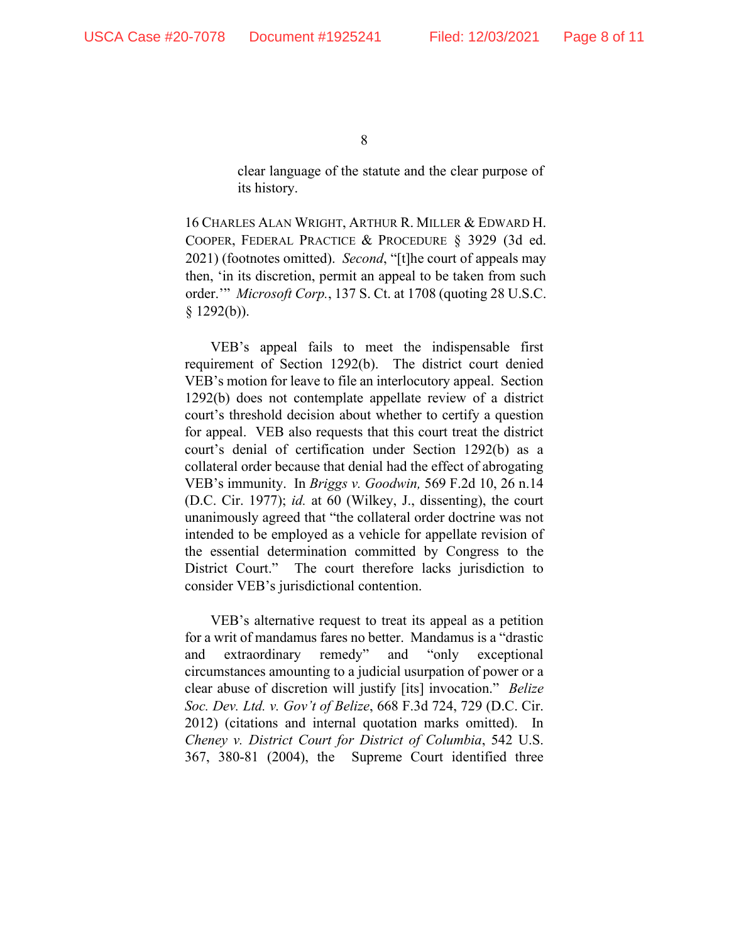clear language of the statute and the clear purpose of its history.

16 CHARLES ALAN WRIGHT, ARTHUR R. MILLER & EDWARD H. COOPER, FEDERAL PRACTICE & PROCEDURE § 3929 (3d ed. 2021) (footnotes omitted). *Second*, "[t]he court of appeals may then, 'in its discretion, permit an appeal to be taken from such order.'" *Microsoft Corp.*, 137 S. Ct. at 1708 (quoting 28 U.S.C. § 1292(b)).

VEB's appeal fails to meet the indispensable first requirement of Section 1292(b). The district court denied VEB's motion for leave to file an interlocutory appeal. Section 1292(b) does not contemplate appellate review of a district court's threshold decision about whether to certify a question for appeal. VEB also requests that this court treat the district court's denial of certification under Section 1292(b) as a collateral order because that denial had the effect of abrogating VEB's immunity. In *Briggs v. Goodwin,* 569 F.2d 10, 26 n.14 (D.C. Cir. 1977); *id.* at 60 (Wilkey, J., dissenting), the court unanimously agreed that "the collateral order doctrine was not intended to be employed as a vehicle for appellate revision of the essential determination committed by Congress to the District Court." The court therefore lacks jurisdiction to consider VEB's jurisdictional contention.

VEB's alternative request to treat its appeal as a petition for a writ of mandamus fares no better. Mandamus is a "drastic and extraordinary remedy" and "only exceptional circumstances amounting to a judicial usurpation of power or a clear abuse of discretion will justify [its] invocation." *Belize Soc. Dev. Ltd. v. Gov't of Belize*, 668 F.3d 724, 729 (D.C. Cir. 2012) (citations and internal quotation marks omitted). In *Cheney v. District Court for District of Columbia*, 542 U.S. 367, 380-81 (2004), the Supreme Court identified three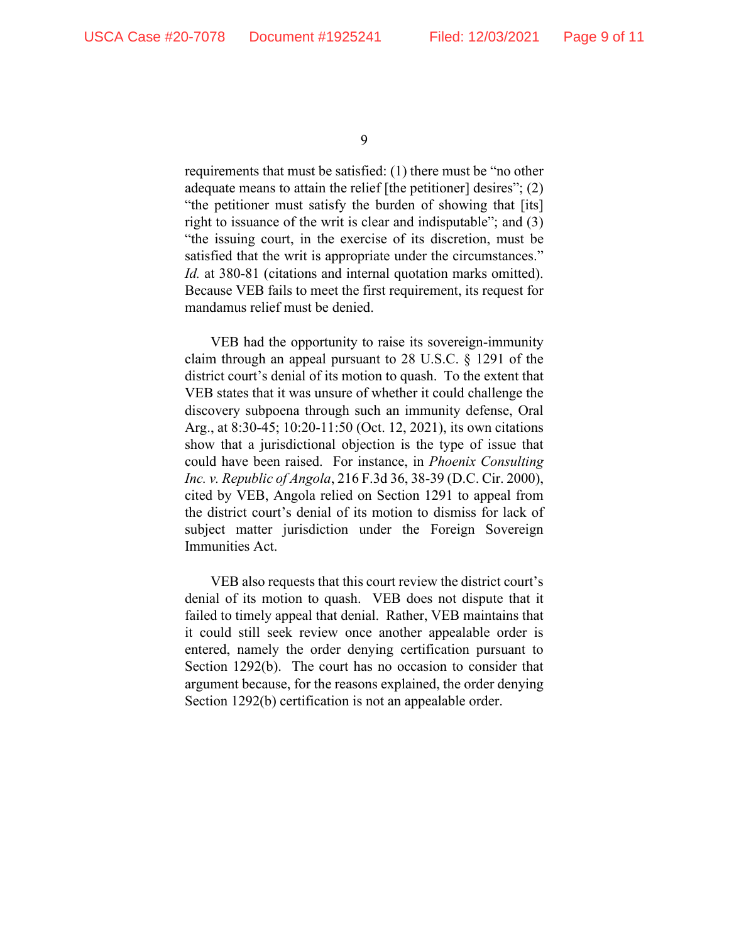requirements that must be satisfied: (1) there must be "no other adequate means to attain the relief [the petitioner] desires"; (2) "the petitioner must satisfy the burden of showing that [its] right to issuance of the writ is clear and indisputable"; and (3) "the issuing court, in the exercise of its discretion, must be satisfied that the writ is appropriate under the circumstances." *Id.* at 380-81 (citations and internal quotation marks omitted). Because VEB fails to meet the first requirement, its request for mandamus relief must be denied.

VEB had the opportunity to raise its sovereign-immunity claim through an appeal pursuant to 28 U.S.C. § 1291 of the district court's denial of its motion to quash. To the extent that VEB states that it was unsure of whether it could challenge the discovery subpoena through such an immunity defense, Oral Arg., at 8:30-45; 10:20-11:50 (Oct. 12, 2021), its own citations show that a jurisdictional objection is the type of issue that could have been raised. For instance, in *Phoenix Consulting Inc. v. Republic of Angola*, 216 F.3d 36, 38-39 (D.C. Cir. 2000), cited by VEB, Angola relied on Section 1291 to appeal from the district court's denial of its motion to dismiss for lack of subject matter jurisdiction under the Foreign Sovereign Immunities Act.

VEB also requests that this court review the district court's denial of its motion to quash. VEB does not dispute that it failed to timely appeal that denial. Rather, VEB maintains that it could still seek review once another appealable order is entered, namely the order denying certification pursuant to Section 1292(b). The court has no occasion to consider that argument because, for the reasons explained, the order denying Section 1292(b) certification is not an appealable order.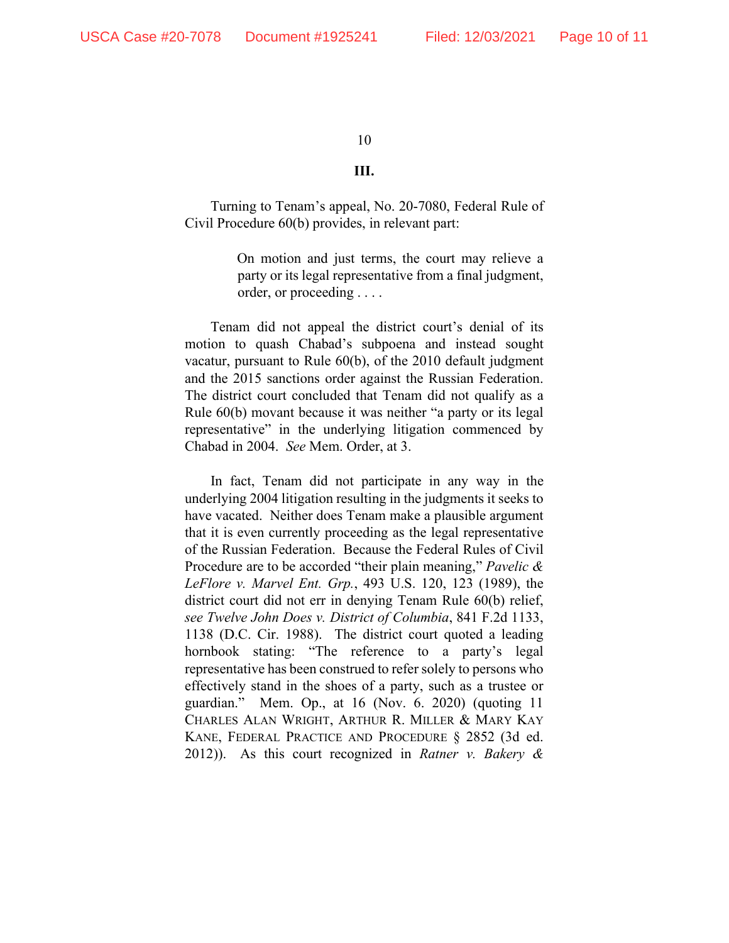#### **III.**

Turning to Tenam's appeal, No. 20-7080, Federal Rule of Civil Procedure 60(b) provides, in relevant part:

> On motion and just terms, the court may relieve a party or its legal representative from a final judgment, order, or proceeding . . . .

Tenam did not appeal the district court's denial of its motion to quash Chabad's subpoena and instead sought vacatur, pursuant to Rule 60(b), of the 2010 default judgment and the 2015 sanctions order against the Russian Federation. The district court concluded that Tenam did not qualify as a Rule 60(b) movant because it was neither "a party or its legal representative" in the underlying litigation commenced by Chabad in 2004. *See* Mem. Order, at 3.

In fact, Tenam did not participate in any way in the underlying 2004 litigation resulting in the judgments it seeks to have vacated. Neither does Tenam make a plausible argument that it is even currently proceeding as the legal representative of the Russian Federation. Because the Federal Rules of Civil Procedure are to be accorded "their plain meaning," *Pavelic & LeFlore v. Marvel Ent. Grp.*, 493 U.S. 120, 123 (1989), the district court did not err in denying Tenam Rule 60(b) relief, *see Twelve John Does v. District of Columbia*, 841 F.2d 1133, 1138 (D.C. Cir. 1988). The district court quoted a leading hornbook stating: "The reference to a party's legal representative has been construed to refer solely to persons who effectively stand in the shoes of a party, such as a trustee or guardian." Mem. Op., at 16 (Nov. 6. 2020) (quoting 11 CHARLES ALAN WRIGHT, ARTHUR R. MILLER & MARY KAY KANE, FEDERAL PRACTICE AND PROCEDURE § 2852 (3d ed. 2012)). As this court recognized in *Ratner v. Bakery &*